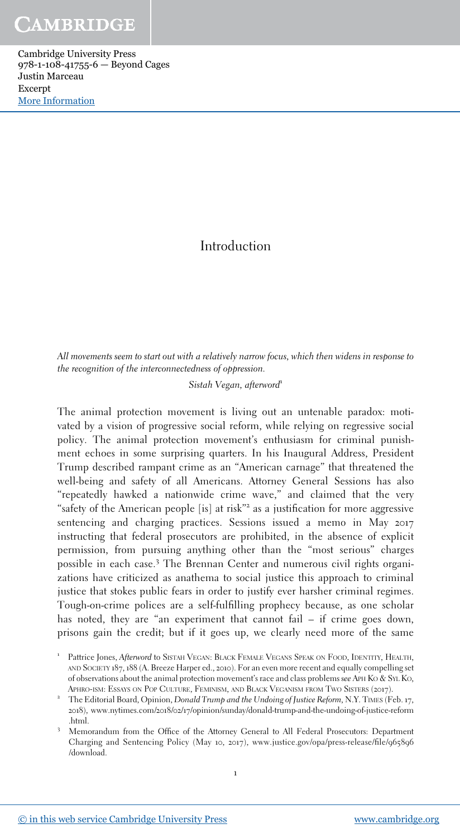Cambridge University Press 978-1-108-41755-6 — Beyond Cages Justin Marceau Excerpt [More Information](www.cambridge.org/9781108417556)

## Introduction

All movements seem to start out with a relatively narrow focus, which then widens in response to *the recognition of the interconnectedness of oppression.*

### *Sistah Vegan, afterword*<sup>1</sup>

The animal protection movement is living out an untenable paradox: motivated by a vision of progressive social reform, while relying on regressive social policy. The animal protection movement's enthusiasm for criminal punishment echoes in some surprising quarters. In his Inaugural Address, President Trump described rampant crime as an "American carnage" that threatened the well-being and safety of all Americans. Attorney General Sessions has also "repeatedly hawked a nationwide crime wave," and claimed that the very "safety of the American people [is] at risk"<sup>2</sup> as a justification for more aggressive sentencing and charging practices. Sessions issued a memo in May 2017 instructing that federal prosecutors are prohibited, in the absence of explicit permission, from pursuing anything other than the "most serious" charges possible in each case.<sup>3</sup> The Brennan Center and numerous civil rights organizations have criticized as anathema to social justice this approach to criminal justice that stokes public fears in order to justify ever harsher criminal regimes. Tough-on-crime polices are a self-fulfilling prophecy because, as one scholar has noted, they are "an experiment that cannot fail – if crime goes down, prisons gain the credit; but if it goes up, we clearly need more of the same

1

<sup>1</sup> Pattrice Jones, *Afterword* to SISTAH VEGAN: BLACK FEMALE VEGANS SPEAK ON FOOD, IDENTITY, HEALTH AND SOCIETY 187, 188 (A. Breeze Harper ed., 2010). For an even more recent and equally compelling set of observations about the animal protection movement's race and class problems *see* APH K<sup>O</sup> & SYL KO, APHRO-ISM: ESSAYS ON POP CULTURE, FEMINISM, AND BLACK VEGANISM FROM TWO SISTERS (2017).

<sup>2</sup> The Editorial Board, Opinion, *Donald Trump and the Undoing of Justice Reform*, N.Y. TIMES (Feb. 17, 2018), www.nytimes.com/2018/02/17/opinion/sunday/donald-trump-and-the-undoing-of-justice-reform .html.

<sup>3</sup> Memorandum from the Office of the Attorney General to All Federal Prosecutors: Department Charging and Sentencing Policy (May 10, 2017), www.justice.gov/opa/press-release/file/965896 /download.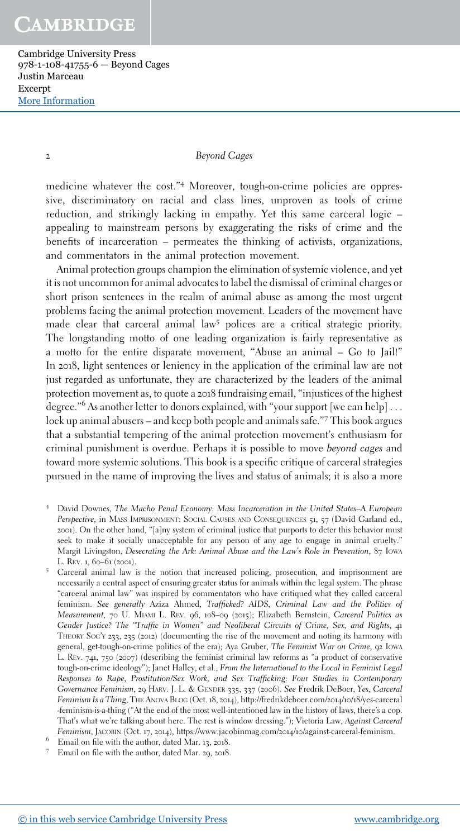Cambridge University Press 978-1-108-41755-6 — Beyond Cages Justin Marceau Excerpt [More Information](www.cambridge.org/9781108417556)

#### 2 *Beyond Cages*

medicine whatever the cost."<sup>4</sup> Moreover, tough-on-crime policies are oppressive, discriminatory on racial and class lines, unproven as tools of crime reduction, and strikingly lacking in empathy. Yet this same carceral logic – appealing to mainstream persons by exaggerating the risks of crime and the benefits of incarceration – permeates the thinking of activists, organizations, and commentators in the animal protection movement.

Animal protection groups champion the elimination of systemic violence, and yet it is not uncommon for animal advocates to label the dismissal of criminal charges or short prison sentences in the realm of animal abuse as among the most urgent problems facing the animal protection movement. Leaders of the movement have made clear that carceral animal law<sup>5</sup> polices are a critical strategic priority. The longstanding motto of one leading organization is fairly representative as a motto for the entire disparate movement, "Abuse an animal – Go to Jail!" In 2018, light sentences or leniency in the application of the criminal law are not just regarded as unfortunate, they are characterized by the leaders of the animal protection movement as, to quote a 2018 fundraising email, "injustices of the highest degree."<sup>6</sup> As another letter to donors explained, with "your support [we can help] . . . lock up animal abusers – and keep both people and animals safe."<sup>7</sup> This book argues that a substantial tempering of the animal protection movement's enthusiasm for criminal punishment is overdue. Perhaps it is possible to move *beyond cages* and toward more systemic solutions. This book is a specific critique of carceral strategies pursued in the name of improving the lives and status of animals; it is also a more

- <sup>4</sup> David Downes, The Macho Penal Economy: Mass Incarceration in the United States-A European *Perspective,* in MASS IMPRISONMENT: SOCIAL CAUSES AND CONSEQUENCES 51, 57 (David Garland ed., 2001). On the other hand, "[a]ny system of criminal justice that purports to deter this behavior must seek to make it socially unacceptable for any person of any age to engage in animal cruelty." Margit Livingston, Desecrating the Ark: Animal Abuse and the Law's Role in Prevention, 87 Iowa L. REV. 1, 60-61 (2001).
- <sup>5</sup> Carceral animal law is the notion that increased policing, prosecution, and imprisonment are necessarily a central aspect of ensuring greater status for animals within the legal system. The phrase "carceral animal law" was inspired by commentators who have critiqued what they called carceral feminism. *See generally* Aziza Ahmed, *Trafficked? AIDS, Criminal Law and the Politics of Measurement*, 70 U. MIAMI L. REV. 96, 108–09 (2015); Elizabeth Bernstein, *Carceral Politics as* Gender Justice? The "Traffic in Women" and Neoliberal Circuits of Crime, Sex, and Rights, 41 THEORY SOC'<sup>Y</sup> 233, 235 (2012) (documenting the rise of the movement and noting its harmony with general, get-tough-on-crime politics of the era); Aya Gruber, *The Feminist War on Crime*, 92 IOWA L. REv.  $741, 750 (2007)$  (describing the feminist criminal law reforms as "a product of conservative tough-on-crime ideology"); Janet Halley, et al., *From the International to the Local in Feminist Legal* Responses to Rape, Prostitution/Sex Work, and Sex Trafficking: Four Studies in Contemporary *Governance Feminism*, 29 HARV. J. L. & GENDER 335, 337 (2006). *See* Fredrik DeBoer, *Yes, Carceral Feminism Is a Thing*, THE ANOVA BLOG (Oct. 18, 2014), http://fredrikdeboer.com/2014/10/18/yes-carceral -feminism-is-a-thing ("At the end of the most well-intentioned law in the history of laws, there's a cop. That's what we're talking about here. The rest is window dressing."); Victoria Law, *Against Carceral Feminism*, JACOBIN (Oct. 17, 2014), https://www.jacobinmag.com/2014/10/against-carceral-feminism.
- <sup>6</sup> Email on file with the author, dated Mar. 13, 2018.
- <sup>7</sup> Email on file with the author, dated Mar. 29, 2018.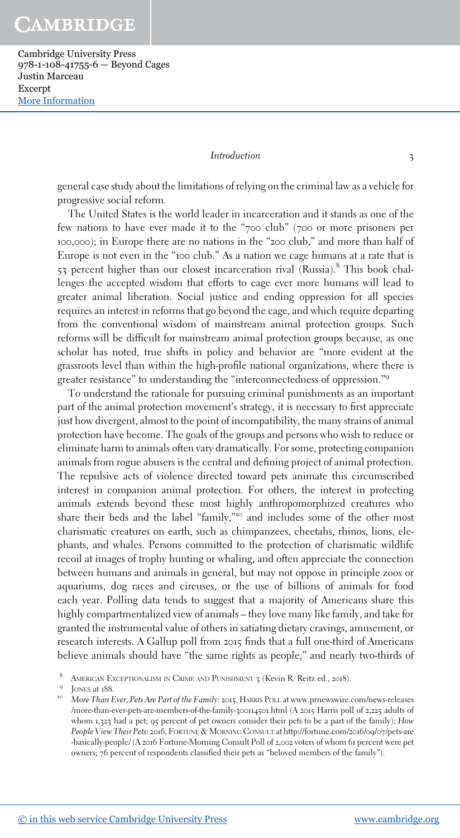Cambridge University Press 978-1-108-41755-6 — Beyond Cages Justin Marceau Excerpt [More Information](www.cambridge.org/9781108417556)

#### *Introduction* 3

general case study about the limitations of relying on the criminal law as a vehicle for progressive social reform.

The United States is the world leader in incarceration and it stands as one of the few nations to have ever made it to the "700 club" (700 or more prisoners per 100,000); in Europe there are no nations in the "200 club," and more than half of Europe is not even in the "100 club." As a nation we cage humans at a rate that is 53 percent higher than our closest incarceration rival (Russia).<sup>8</sup> This book challenges the accepted wisdom that efforts to cage ever more humans will lead to greater animal liberation. Social justice and ending oppression for all species requires an interest in reforms that go beyond the cage, and which require departing from the conventional wisdom of mainstream animal protection groups. Such reforms will be difficult for mainstream animal protection groups because, as one scholar has noted, true shifts in policy and behavior are "more evident at the grassroots level than within the high-profile national organizations, where there is greater resistance" to understanding the "interconnectedness of oppression."<sup>9</sup>

To understand the rationale for pursuing criminal punishments as an important part of the animal protection movement's strategy, it is necessary to first appreciate just how divergent, almost to the point of incompatibility, the many strains of animal protection have become. The goals of the groups and persons who wish to reduce or eliminate harm to animals often vary dramatically. For some, protecting companion animals from rogue abusers is the central and defining project of animal protection. The repulsive acts of violence directed toward pets animate this circumscribed interest in companion animal protection. For others, the interest in protecting animals extends beyond these most highly anthropomorphized creatures who share their beds and the label "family,"<sup>10</sup> and includes some of the other most charismatic creatures on earth, such as chimpanzees, cheetahs, rhinos, lions, elephants, and whales. Persons committed to the protection of charismatic wildlife recoil at images of trophy hunting or whaling, and often appreciate the connection between humans and animals in general, but may not oppose in principle zoos or aquariums, dog races and circuses, or the use of billions of animals for food each year. Polling data tends to suggest that a majority of Americans share this highly compartmentalized view of animals – they love many like family, and take for granted the instrumental value of others in satiating dietary cravings, amusement, or research interests. A Gallup poll from 2015 finds that a full one-third of Americans believe animals should have "the same rights as people," and nearly two-thirds of

<sup>8</sup> AMERICAN EXCEPTIONALISM IN CRIME AND PUNISHMENT 3 (Kevin R. Reitz ed., 2018).

<sup>&</sup>lt;sup>9</sup> JONES at 188.

<sup>10</sup> *More Than Ever, Pets Are Part of the Family*: 2015, HARRIS POLL at www.prnewswire.com/news-releases /more-than-ever-pets-are-members-of-the-family-300114501.html (A 2015 Harris poll of 2,225 adults of whom 1,323 had a pet; 95 percent of pet owners consider their pets to be a part of the family); *How People View Their Pets*: 2016, FORTUNE & MORNING CONSULT at http://fortune.com/2016/09/07/pets-are -basically-people/ (A 2016 Fortune-Morning Consult Poll of 2,002 voters of whom 61 percent were pet owners; 76 percent of respondents classified their pets as "beloved members of the family").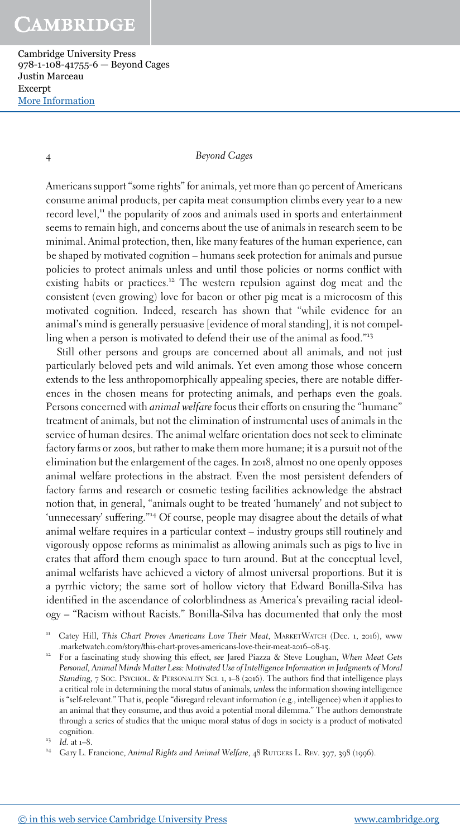Cambridge University Press 978-1-108-41755-6 — Beyond Cages Justin Marceau Excerpt [More Information](www.cambridge.org/9781108417556)

4 *Beyond Cages*

Americans support "some rights" for animals, yet more than 90 percent of Americans consume animal products, per capita meat consumption climbs every year to a new record level,<sup>11</sup> the popularity of zoos and animals used in sports and entertainment seems to remain high, and concerns about the use of animals in research seem to be minimal. Animal protection, then, like many features of the human experience, can be shaped by motivated cognition – humans seek protection for animals and pursue policies to protect animals unless and until those policies or norms conflict with existing habits or practices.<sup>12</sup> The western repulsion against dog meat and the consistent (even growing) love for bacon or other pig meat is a microcosm of this motivated cognition. Indeed, research has shown that "while evidence for an animal's mind is generally persuasive [evidence of moral standing], it is not compelling when a person is motivated to defend their use of the animal as food."<sup>13</sup>

Still other persons and groups are concerned about all animals, and not just particularly beloved pets and wild animals. Yet even among those whose concern extends to the less anthropomorphically appealing species, there are notable differences in the chosen means for protecting animals, and perhaps even the goals. Persons concerned with *animal welfare* focus their efforts on ensuring the "humane" treatment of animals, but not the elimination of instrumental uses of animals in the service of human desires. The animal welfare orientation does not seek to eliminate factory farms or zoos, but rather to make them more humane; it is a pursuit not of the elimination but the enlargement of the cages. In 2018, almost no one openly opposes animal welfare protections in the abstract. Even the most persistent defenders of factory farms and research or cosmetic testing facilities acknowledge the abstract notion that, in general, "animals ought to be treated 'humanely' and not subject to 'unnecessary' suffering."<sup>14</sup> Of course, people may disagree about the details of what animal welfare requires in a particular context – industry groups still routinely and vigorously oppose reforms as minimalist as allowing animals such as pigs to live in crates that afford them enough space to turn around. But at the conceptual level, animal welfarists have achieved a victory of almost universal proportions. But it is a pyrrhic victory; the same sort of hollow victory that Edward Bonilla-Silva has identified in the ascendance of colorblindness as America's prevailing racial ideology – "Racism without Racists." Bonilla-Silva has documented that only the most

<sup>13</sup> *Id.* at 1–8.

<sup>11</sup> Catey Hill, *This Chart Proves Americans Love Their Meat*, MARKETWATCH (Dec. 1, 2016), www .marketwatch.com/story/this-chart-proves-americans-love-their-meat-2016–08-15.

<sup>12</sup> For a fascinating study showing this effect, *see* Jared Piazza & Steve Loughan, *When Meat Gets* Personal, Animal Minds Matter Less: Motivated Use of Intelligence Information in Judgments of Moral *Standing*, 7 Soc. PSYCHOL. & PERSONALITY SCI. 1, 1–8 (2016). The authors find that intelligence plays a critical role in determining the moral status of animals, *unless* the information showing intelligence is "self-relevant." That is, people "disregard relevant information (e.g., intelligence) when it applies to an animal that they consume, and thus avoid a potential moral dilemma." The authors demonstrate through a series of studies that the unique moral status of dogs in society is a product of motivated cognition.

<sup>&</sup>lt;sup>14</sup> Gary L. Francione, *Animal Rights and Animal Welfare*, 48 RUTGERS L. REV. 397, 398 (1996).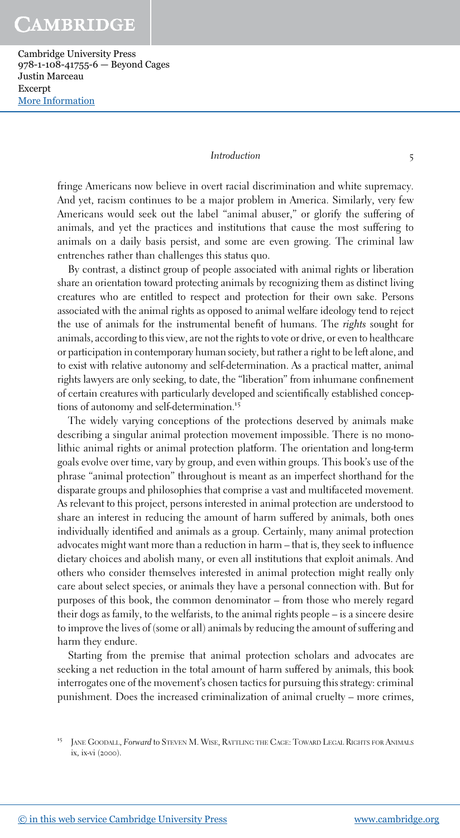Cambridge University Press 978-1-108-41755-6 — Beyond Cages Justin Marceau Excerpt [More Information](www.cambridge.org/9781108417556)

#### *Introduction* 5

fringe Americans now believe in overt racial discrimination and white supremacy. And yet, racism continues to be a major problem in America. Similarly, very few Americans would seek out the label "animal abuser," or glorify the suffering of animals, and yet the practices and institutions that cause the most suffering to animals on a daily basis persist, and some are even growing. The criminal law entrenches rather than challenges this status quo.

By contrast, a distinct group of people associated with animal rights or liberation share an orientation toward protecting animals by recognizing them as distinct living creatures who are entitled to respect and protection for their own sake. Persons associated with the animal rights as opposed to animal welfare ideology tend to reject the use of animals for the instrumental benefit of humans. The *rights* sought for animals, according to this view, are not the rights to vote or drive, or even to healthcare or participation in contemporary human society, but rather a right to be left alone, and to exist with relative autonomy and self-determination. As a practical matter, animal rights lawyers are only seeking, to date, the "liberation" from inhumane confinement of certain creatures with particularly developed and scientifically established conceptions of autonomy and self-determination.<sup>15</sup>

The widely varying conceptions of the protections deserved by animals make describing a singular animal protection movement impossible. There is no monolithic animal rights or animal protection platform. The orientation and long-term goals evolve over time, vary by group, and even within groups. This book's use of the phrase "animal protection" throughout is meant as an imperfect shorthand for the disparate groups and philosophies that comprise a vast and multifaceted movement. As relevant to this project, persons interested in animal protection are understood to share an interest in reducing the amount of harm suffered by animals, both ones individually identified and animals as a group. Certainly, many animal protection advocates might want more than a reduction in harm – that is, they seek to influence dietary choices and abolish many, or even all institutions that exploit animals. And others who consider themselves interested in animal protection might really only care about select species, or animals they have a personal connection with. But for purposes of this book, the common denominator – from those who merely regard their dogs as family, to the welfarists, to the animal rights people – is a sincere desire to improve the lives of (some or all) animals by reducing the amount of suffering and harm they endure.

Starting from the premise that animal protection scholars and advocates are seeking a net reduction in the total amount of harm suffered by animals, this book interrogates one of the movement's chosen tactics for pursuing this strategy: criminal punishment. Does the increased criminalization of animal cruelty – more crimes,

<sup>15</sup> JANE GOODALL, *Forward* to STEVEN M. WISE, RATTLING THE CAGE: TOWARD LEGAL RIGHTS FOR ANIMALS ix, ix-vi (2000).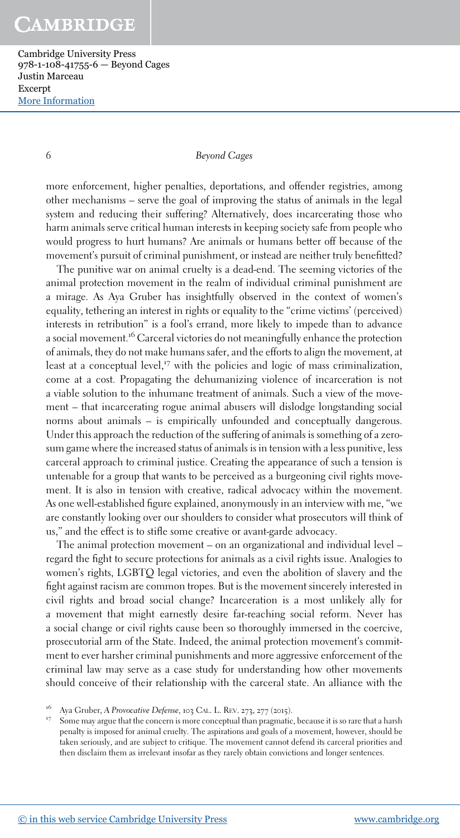Cambridge University Press 978-1-108-41755-6 — Beyond Cages Justin Marceau Excerpt [More Information](www.cambridge.org/9781108417556)

### 6 *Beyond Cages*

more enforcement, higher penalties, deportations, and offender registries, among other mechanisms – serve the goal of improving the status of animals in the legal system and reducing their suffering? Alternatively, does incarcerating those who harm animals serve critical human interests in keeping society safe from people who would progress to hurt humans? Are animals or humans better off because of the movement's pursuit of criminal punishment, or instead are neither truly benefitted?

The punitive war on animal cruelty is a dead-end. The seeming victories of the animal protection movement in the realm of individual criminal punishment are a mirage. As Aya Gruber has insightfully observed in the context of women's equality, tethering an interest in rights or equality to the "crime victims' (perceived) interests in retribution" is a fool's errand, more likely to impede than to advance a social movement.<sup>16</sup> Carceral victories do not meaningfully enhance the protection of animals, they do not make humans safer, and the efforts to align the movement, at least at a conceptual level,<sup>17</sup> with the policies and logic of mass criminalization, come at a cost. Propagating the dehumanizing violence of incarceration is not a viable solution to the inhumane treatment of animals. Such a view of the movement – that incarcerating rogue animal abusers will dislodge longstanding social norms about animals – is empirically unfounded and conceptually dangerous. Under this approach the reduction of the suffering of animals is something of a zerosum game where the increased status of animals is in tension with a less punitive, less carceral approach to criminal justice. Creating the appearance of such a tension is untenable for a group that wants to be perceived as a burgeoning civil rights movement. It is also in tension with creative, radical advocacy within the movement. As one well-established figure explained, anonymously in an interview with me, "we are constantly looking over our shoulders to consider what prosecutors will think of us," and the effect is to stifle some creative or avant-garde advocacy.

The animal protection movement – on an organizational and individual level – regard the fight to secure protections for animals as a civil rights issue. Analogies to women's rights, LGBTQ legal victories, and even the abolition of slavery and the fight against racism are common tropes. But is the movement sincerely interested in civil rights and broad social change? Incarceration is a most unlikely ally for a movement that might earnestly desire far-reaching social reform. Never has a social change or civil rights cause been so thoroughly immersed in the coercive, prosecutorial arm of the State. Indeed, the animal protection movement's commitment to ever harsher criminal punishments and more aggressive enforcement of the criminal law may serve as a case study for understanding how other movements should conceive of their relationship with the carceral state. An alliance with the

Some may argue that the concern is more conceptual than pragmatic, because it is so rare that a harsh penalty is imposed for animal cruelty. The aspirations and goals of a movement, however, should be taken seriously, and are subject to critique. The movement cannot defend its carceral priorities and then disclaim them as irrelevant insofar as they rarely obtain convictions and longer sentences.

<sup>16</sup> Aya Gruber, *A Provocative Defense*, 103 CAL. L. REV. 273, 277 (2015).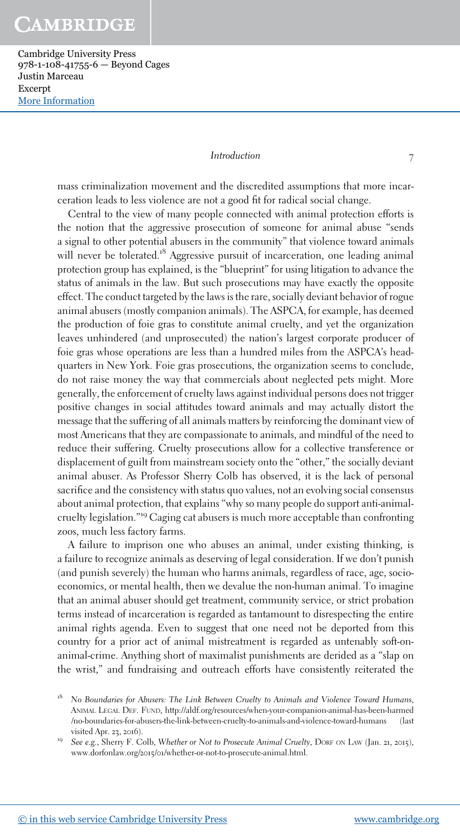Cambridge University Press 978-1-108-41755-6 — Beyond Cages Justin Marceau Excerpt [More Information](www.cambridge.org/9781108417556)

#### *Introduction* 7

mass criminalization movement and the discredited assumptions that more incarceration leads to less violence are not a good fit for radical social change.

Central to the view of many people connected with animal protection efforts is the notion that the aggressive prosecution of someone for animal abuse "sends a signal to other potential abusers in the community" that violence toward animals will never be tolerated.<sup>18</sup> Aggressive pursuit of incarceration, one leading animal protection group has explained, is the "blueprint" for using litigation to advance the status of animals in the law. But such prosecutions may have exactly the opposite effect. The conduct targeted by the laws is the rare, socially deviant behavior of rogue animal abusers (mostly companion animals). The ASPCA, for example, has deemed the production of foie gras to constitute animal cruelty, and yet the organization leaves unhindered (and unprosecuted) the nation's largest corporate producer of foie gras whose operations are less than a hundred miles from the ASPCA's headquarters in New York. Foie gras prosecutions, the organization seems to conclude, do not raise money the way that commercials about neglected pets might. More generally, the enforcement of cruelty laws against individual persons does not trigger positive changes in social attitudes toward animals and may actually distort the message that the suffering of all animals matters by reinforcing the dominant view of most Americans that they are compassionate to animals, and mindful of the need to reduce their suffering. Cruelty prosecutions allow for a collective transference or displacement of guilt from mainstream society onto the "other," the socially deviant animal abuser. As Professor Sherry Colb has observed, it is the lack of personal sacrifice and the consistency with status quo values, not an evolving social consensus about animal protection, that explains "why so many people do support anti-animalcruelty legislation."<sup>19</sup> Caging cat abusers is much more acceptable than confronting zoos, much less factory farms.

A failure to imprison one who abuses an animal, under existing thinking, is a failure to recognize animals as deserving of legal consideration. If we don't punish (and punish severely) the human who harms animals, regardless of race, age, socioeconomics, or mental health, then we devalue the non-human animal. To imagine that an animal abuser should get treatment, community service, or strict probation terms instead of incarceration is regarded as tantamount to disrespecting the entire animal rights agenda. Even to suggest that one need not be deported from this country for a prior act of animal mistreatment is regarded as untenably soft-onanimal-crime. Anything short of maximalist punishments are derided as a "slap on the wrist," and fundraising and outreach efforts have consistently reiterated the

<sup>&</sup>lt;sup>18</sup> No Boundaries for Abusers: The Link Between Cruelty to Animals and Violence Toward Humans, ANIMAL LEGAL DEF. FUND, http://aldf.org/resources/when-your-companion-animal-has-been-harmed /no-boundaries-for-abusers-the-link-between-cruelty-to-animals-and-violence-toward-humans (last visited Apr. 23, 2016).

<sup>19</sup> *See e.g.*, Sherry F. Colb, *Whether or Not to Prosecute Animal Cruelty*, DORF ON LAW (Jan. 21, 2015), www.dorfonlaw.org/2015/01/whether-or-not-to-prosecute-animal.html.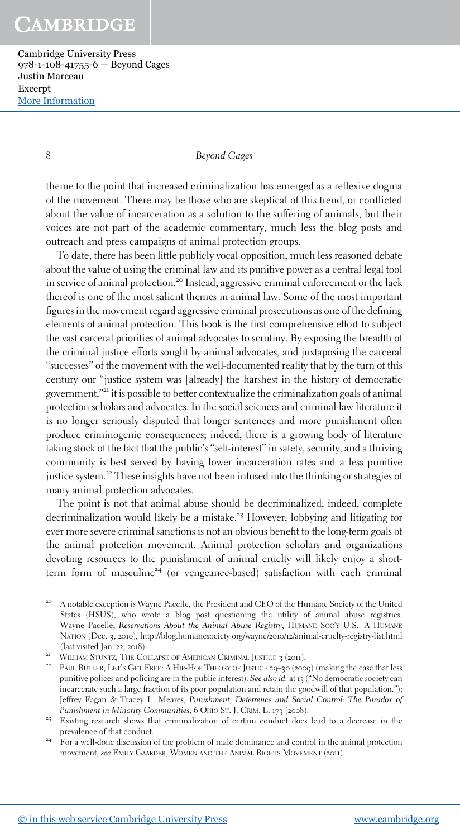Cambridge University Press 978-1-108-41755-6 — Beyond Cages Justin Marceau Excerpt [More Information](www.cambridge.org/9781108417556)

8 *Beyond Cages*

theme to the point that increased criminalization has emerged as a reflexive dogma of the movement. There may be those who are skeptical of this trend, or conflicted about the value of incarceration as a solution to the suffering of animals, but their voices are not part of the academic commentary, much less the blog posts and outreach and press campaigns of animal protection groups.

To date, there has been little publicly vocal opposition, much less reasoned debate about the value of using the criminal law and its punitive power as a central legal tool in service of animal protection.<sup>20</sup> Instead, aggressive criminal enforcement or the lack thereof is one of the most salient themes in animal law. Some of the most important figures in the movement regard aggressive criminal prosecutions as one of the defining elements of animal protection. This book is the first comprehensive effort to subject the vast carceral priorities of animal advocates to scrutiny. By exposing the breadth of the criminal justice efforts sought by animal advocates, and juxtaposing the carceral "successes" of the movement with the well-documented reality that by the turn of this century our "justice system was [already] the harshest in the history of democratic government,"<sup>21</sup> it is possible to better contextualize the criminalization goals of animal protection scholars and advocates. In the social sciences and criminal law literature it is no longer seriously disputed that longer sentences and more punishment often produce criminogenic consequences; indeed, there is a growing body of literature taking stock of the fact that the public's "self-interest" in safety, security, and a thriving community is best served by having lower incarceration rates and a less punitive justice system.<sup>22</sup> These insights have not been infused into the thinking or strategies of many animal protection advocates.

The point is not that animal abuse should be decriminalized; indeed, complete decriminalization would likely be a mistake.<sup>23</sup> However, lobbying and litigating for ever more severe criminal sanctions is not an obvious benefit to the long-term goals of the animal protection movement. Animal protection scholars and organizations devoting resources to the punishment of animal cruelty will likely enjoy a shortterm form of masculine<sup>24</sup> (or vengeance-based) satisfaction with each criminal

A notable exception is Wayne Pacelle, the President and CEO of the Humane Society of the United States (HSUS), who wrote a blog post questioning the utility of animal abuse registries. Wayne Pacelle, *Reservations About the Animal Abuse Registry*, HUMANE SOC'<sup>Y</sup> U.S.: A HUMANE NATION (Dec. 3, 2010), http://blog.humanesociety.org/wayne/2010/12/animal-cruelty-registry-list.html (last visited Jan. 22, 2018).

<sup>&</sup>lt;sup>21</sup> WILLIAM STUNTZ, THE COLLAPSE OF AMERICAN CRIMINAL JUSTICE 3 (2011).

<sup>&</sup>lt;sup>22</sup> PAUL BUTLER, LET'S GET FREE: A HIP-HOP THEORY OF JUSTICE 29–30 (2009) (making the case that less punitive polices and policing are in the public interest). *See also id.* at 13 ("No democratic society can incarcerate such a large fraction of its poor population and retain the goodwill of that population."); Jeffrey Fagan & Tracey L. Meares, *Punishment, Deterrence and Social Control: The Paradox of Punishment in Minority Communities*, 6 OHIO ST. J. CRIM. L. 173 (2008).

<sup>&</sup>lt;sup>23</sup> Existing research shows that criminalization of certain conduct does lead to a decrease in the prevalence of that conduct.

 $24 \overline{r}$  For a well-done discussion of the problem of male dominance and control in the animal protection movement, *see* EMILY GAARDER, WOMEN AND THE ANIMAL RIGHTS MOVEMENT (2011).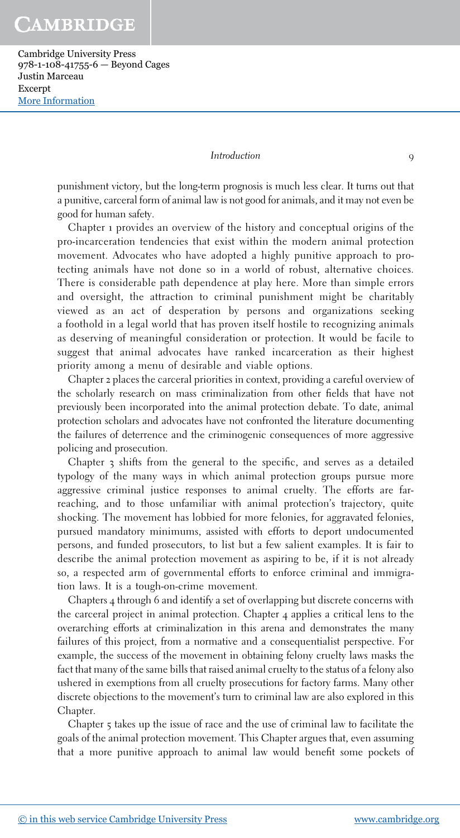Cambridge University Press 978-1-108-41755-6 — Beyond Cages Justin Marceau Excerpt [More Information](www.cambridge.org/9781108417556)

#### *Introduction* 9

punishment victory, but the long-term prognosis is much less clear. It turns out that a punitive, carceral form of animal law is not good for animals, and it may not even be good for human safety.

Chapter 1 provides an overview of the history and conceptual origins of the pro-incarceration tendencies that exist within the modern animal protection movement. Advocates who have adopted a highly punitive approach to protecting animals have not done so in a world of robust, alternative choices. There is considerable path dependence at play here. More than simple errors and oversight, the attraction to criminal punishment might be charitably viewed as an act of desperation by persons and organizations seeking a foothold in a legal world that has proven itself hostile to recognizing animals as deserving of meaningful consideration or protection. It would be facile to suggest that animal advocates have ranked incarceration as their highest priority among a menu of desirable and viable options.

Chapter 2 places the carceral priorities in context, providing a careful overview of the scholarly research on mass criminalization from other fields that have not previously been incorporated into the animal protection debate. To date, animal protection scholars and advocates have not confronted the literature documenting the failures of deterrence and the criminogenic consequences of more aggressive policing and prosecution.

Chapter 3 shifts from the general to the specific, and serves as a detailed typology of the many ways in which animal protection groups pursue more aggressive criminal justice responses to animal cruelty. The efforts are farreaching, and to those unfamiliar with animal protection's trajectory, quite shocking. The movement has lobbied for more felonies, for aggravated felonies, pursued mandatory minimums, assisted with efforts to deport undocumented persons, and funded prosecutors, to list but a few salient examples. It is fair to describe the animal protection movement as aspiring to be, if it is not already so, a respected arm of governmental efforts to enforce criminal and immigration laws. It is a tough-on-crime movement.

Chapters 4 through 6 and identify a set of overlapping but discrete concerns with the carceral project in animal protection. Chapter 4 applies a critical lens to the overarching efforts at criminalization in this arena and demonstrates the many failures of this project, from a normative and a consequentialist perspective. For example, the success of the movement in obtaining felony cruelty laws masks the fact that many of the same bills that raised animal cruelty to the status of a felony also ushered in exemptions from all cruelty prosecutions for factory farms. Many other discrete objections to the movement's turn to criminal law are also explored in this Chapter.

Chapter 5 takes up the issue of race and the use of criminal law to facilitate the goals of the animal protection movement. This Chapter argues that, even assuming that a more punitive approach to animal law would benefit some pockets of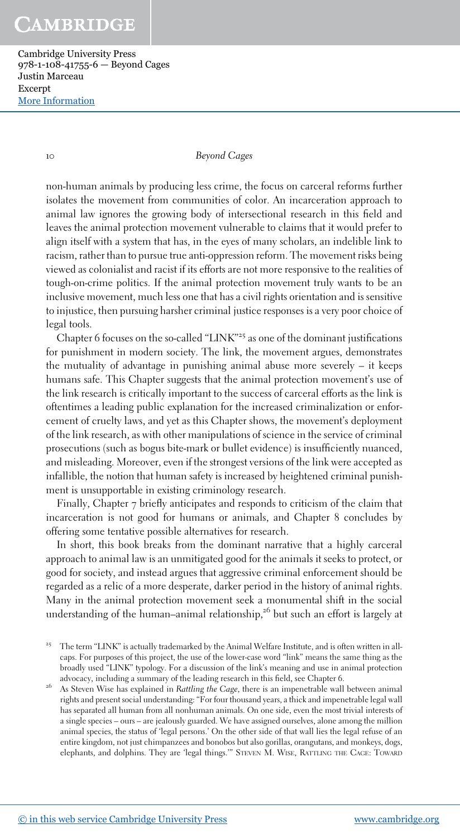Cambridge University Press 978-1-108-41755-6 — Beyond Cages Justin Marceau Excerpt [More Information](www.cambridge.org/9781108417556)

10 *Beyond Cages*

non-human animals by producing less crime, the focus on carceral reforms further isolates the movement from communities of color. An incarceration approach to animal law ignores the growing body of intersectional research in this field and leaves the animal protection movement vulnerable to claims that it would prefer to align itself with a system that has, in the eyes of many scholars, an indelible link to racism, rather than to pursue true anti-oppression reform. The movement risks being viewed as colonialist and racist if its efforts are not more responsive to the realities of tough-on-crime politics. If the animal protection movement truly wants to be an inclusive movement, much less one that has a civil rights orientation and is sensitive to injustice, then pursuing harsher criminal justice responses is a very poor choice of legal tools.

Chapter 6 focuses on the so-called "LINK"<sup>25</sup> as one of the dominant justifications for punishment in modern society. The link, the movement argues, demonstrates the mutuality of advantage in punishing animal abuse more severely – it keeps humans safe. This Chapter suggests that the animal protection movement's use of the link research is critically important to the success of carceral efforts as the link is oftentimes a leading public explanation for the increased criminalization or enforcement of cruelty laws, and yet as this Chapter shows, the movement's deployment of the link research, as with other manipulations of science in the service of criminal prosecutions (such as bogus bite-mark or bullet evidence) is insufficiently nuanced, and misleading. Moreover, even if the strongest versions of the link were accepted as infallible, the notion that human safety is increased by heightened criminal punishment is unsupportable in existing criminology research.

Finally, Chapter 7 briefly anticipates and responds to criticism of the claim that incarceration is not good for humans or animals, and Chapter 8 concludes by offering some tentative possible alternatives for research.

In short, this book breaks from the dominant narrative that a highly carceral approach to animal law is an unmitigated good for the animals it seeks to protect, or good for society, and instead argues that aggressive criminal enforcement should be regarded as a relic of a more desperate, darker period in the history of animal rights. Many in the animal protection movement seek a monumental shift in the social understanding of the human–animal relationship, $2^6$  but such an effort is largely at

<sup>25</sup> The term "LINK" is actually trademarked by the Animal Welfare Institute, and is often written in allcaps. For purposes of this project, the use of the lower-case word "link" means the same thing as the broadly used "LINK" typology. For a discussion of the link's meaning and use in animal protection advocacy, including a summary of the leading research in this field, see Chapter 6.

<sup>26</sup> As Steven Wise has explained in *Rattling the Cage*, there is an impenetrable wall between animal rights and present social understanding: "For four thousand years, a thick and impenetrable legal wall has separated all human from all nonhuman animals. On one side, even the most trivial interests of a single species – ours – are jealously guarded. We have assigned ourselves, alone among the million animal species, the status of 'legal persons.' On the other side of that wall lies the legal refuse of an entire kingdom, not just chimpanzees and bonobos but also gorillas, orangutans, and monkeys, dogs, elephants, and dolphins. They are 'legal things.'" STEVEN M. WISE, RATTLING THE CAGE: TOWARD